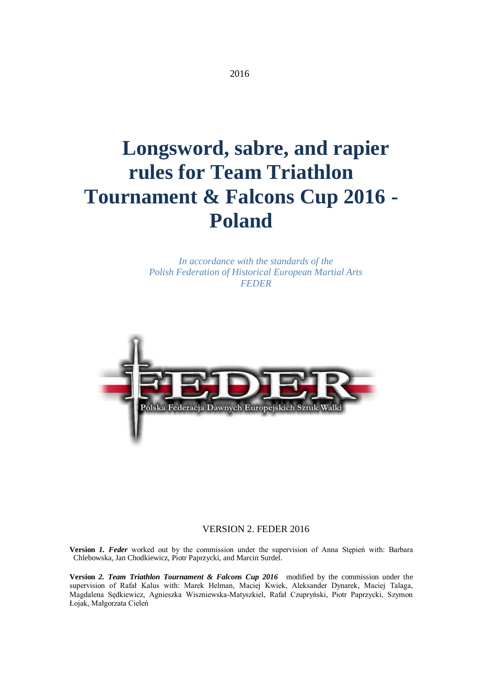

*In accordance with the standards of the Polish Federation of Historical European Martial Arts FEDER*



#### VERSION 2. FEDER 2016

**Version** *1. Feder* worked out by the commission under the supervision of Anna Stępień with: Barbara Chlebowska, Jan Chodkiewicz, Piotr Paprzycki, and Marcin Surdel.

**Version** *2. Team Triathlon Tournament & Falcons Cup 2016* modified by the commission under the supervision of Rafał Kalus with: Marek Helman, Maciej Kwiek, Aleksander Dynarek, Maciej Talaga, Magdalena Sędkiewicz, Agnieszka Wiszniewska-Matyszkiel, Rafał Czupryński, Piotr Paprzycki, Szymon Łojak, Małgorzata Cieleń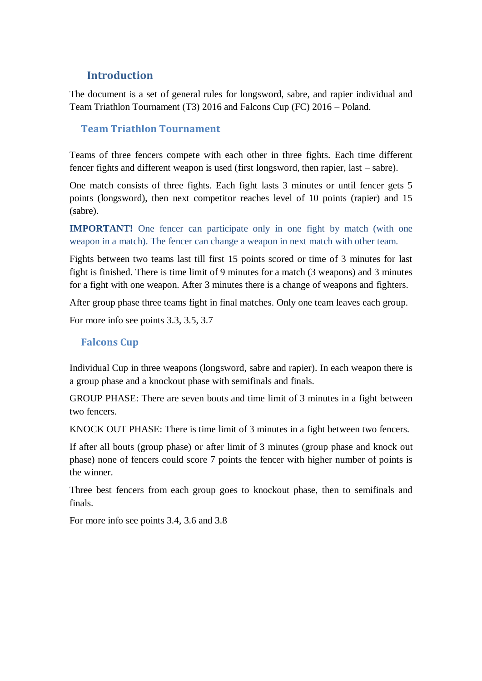# **Introduction**

The document is a set of general rules for longsword, sabre, and rapier individual and Team Triathlon Tournament (T3) 2016 and Falcons Cup (FC) 2016 – Poland.

#### **Team Triathlon Tournament**

Teams of three fencers compete with each other in three fights. Each time different fencer fights and different weapon is used (first longsword, then rapier, last – sabre).

One match consists of three fights. Each fight lasts 3 minutes or until fencer gets 5 points (longsword), then next competitor reaches level of 10 points (rapier) and 15 (sabre).

#### **IMPORTANT!** One fencer can participate only in one fight by match (with one weapon in a match). The fencer can change a weapon in next match with other team.

Fights between two teams last till first 15 points scored or time of 3 minutes for last fight is finished. There is time limit of 9 minutes for a match (3 weapons) and 3 minutes for a fight with one weapon. After 3 minutes there is a change of weapons and fighters.

After group phase three teams fight in final matches. Only one team leaves each group.

For more info see points 3.3, 3.5, 3.7

#### **Falcons Cup**

Individual Cup in three weapons (longsword, sabre and rapier). In each weapon there is a group phase and a knockout phase with semifinals and finals.

GROUP PHASE: There are seven bouts and time limit of 3 minutes in a fight between two fencers.

KNOCK OUT PHASE: There is time limit of 3 minutes in a fight between two fencers.

If after all bouts (group phase) or after limit of 3 minutes (group phase and knock out phase) none of fencers could score 7 points the fencer with higher number of points is the winner.

Three best fencers from each group goes to knockout phase, then to semifinals and finals.

For more info see points 3.4, 3.6 and 3.8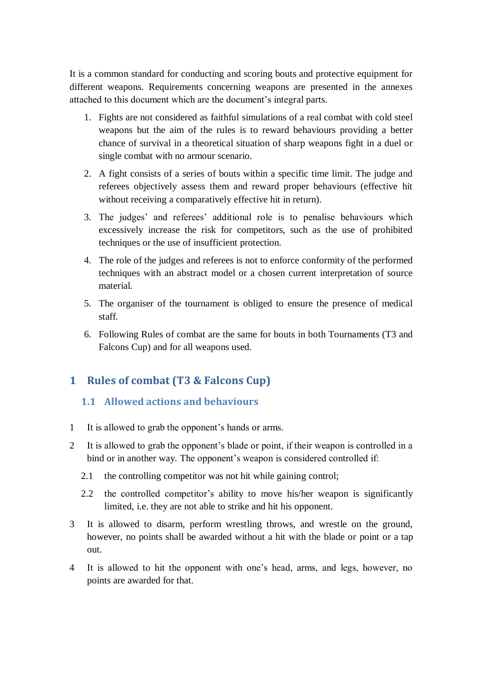It is a common standard for conducting and scoring bouts and protective equipment for different weapons. Requirements concerning weapons are presented in the annexes attached to this document which are the document's integral parts.

- 1. Fights are not considered as faithful simulations of a real combat with cold steel weapons but the aim of the rules is to reward behaviours providing a better chance of survival in a theoretical situation of sharp weapons fight in a duel or single combat with no armour scenario.
- 2. A fight consists of a series of bouts within a specific time limit. The judge and referees objectively assess them and reward proper behaviours (effective hit without receiving a comparatively effective hit in return).
- 3. The judges' and referees' additional role is to penalise behaviours which excessively increase the risk for competitors, such as the use of prohibited techniques or the use of insufficient protection.
- 4. The role of the judges and referees is not to enforce conformity of the performed techniques with an abstract model or a chosen current interpretation of source material.
- 5. The organiser of the tournament is obliged to ensure the presence of medical staff.
- 6. Following Rules of combat are the same for bouts in both Tournaments (T3 and Falcons Cup) and for all weapons used.

# **1 Rules of combat (T3 & Falcons Cup)**

# **1.1 Allowed actions and behaviours**

- 1 It is allowed to grab the opponent's hands or arms.
- 2 It is allowed to grab the opponent's blade or point, if their weapon is controlled in a bind or in another way. The opponent's weapon is considered controlled if:
	- 2.1 the controlling competitor was not hit while gaining control;
	- 2.2 the controlled competitor's ability to move his/her weapon is significantly limited, i.e. they are not able to strike and hit his opponent.
- 3 It is allowed to disarm, perform wrestling throws, and wrestle on the ground, however, no points shall be awarded without a hit with the blade or point or a tap out.
- 4 It is allowed to hit the opponent with one's head, arms, and legs, however, no points are awarded for that.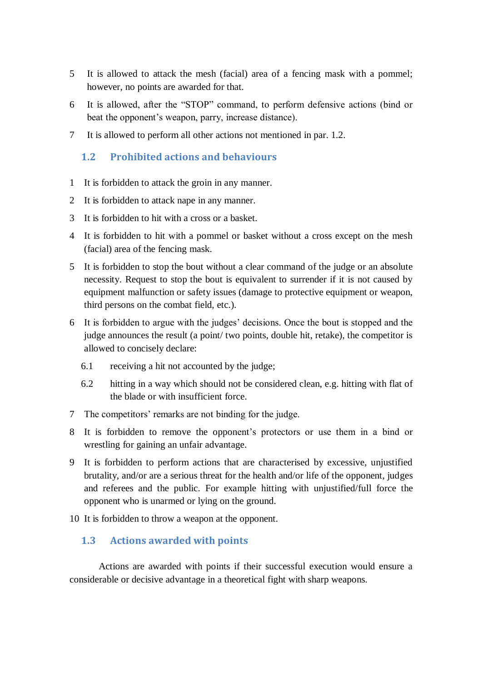- 5 It is allowed to attack the mesh (facial) area of a fencing mask with a pommel; however, no points are awarded for that.
- 6 It is allowed, after the "STOP" command, to perform defensive actions (bind or beat the opponent's weapon, parry, increase distance).
- 7 It is allowed to perform all other actions not mentioned in par. 1.2.

### **1.2 Prohibited actions and behaviours**

- 1 It is forbidden to attack the groin in any manner.
- 2 It is forbidden to attack nape in any manner.
- 3 It is forbidden to hit with a cross or a basket.
- 4 It is forbidden to hit with a pommel or basket without a cross except on the mesh (facial) area of the fencing mask.
- 5 It is forbidden to stop the bout without a clear command of the judge or an absolute necessity. Request to stop the bout is equivalent to surrender if it is not caused by equipment malfunction or safety issues (damage to protective equipment or weapon, third persons on the combat field, etc.).
- 6 It is forbidden to argue with the judges' decisions. Once the bout is stopped and the judge announces the result (a point/ two points, double hit, retake), the competitor is allowed to concisely declare:
	- 6.1 receiving a hit not accounted by the judge;
	- 6.2 hitting in a way which should not be considered clean, e.g. hitting with flat of the blade or with insufficient force.
- 7 The competitors' remarks are not binding for the judge.
- 8 It is forbidden to remove the opponent's protectors or use them in a bind or wrestling for gaining an unfair advantage.
- 9 It is forbidden to perform actions that are characterised by excessive, unjustified brutality, and/or are a serious threat for the health and/or life of the opponent, judges and referees and the public. For example hitting with unjustified/full force the opponent who is unarmed or lying on the ground.
- 10 It is forbidden to throw a weapon at the opponent.

#### **1.3 Actions awarded with points**

Actions are awarded with points if their successful execution would ensure a considerable or decisive advantage in a theoretical fight with sharp weapons.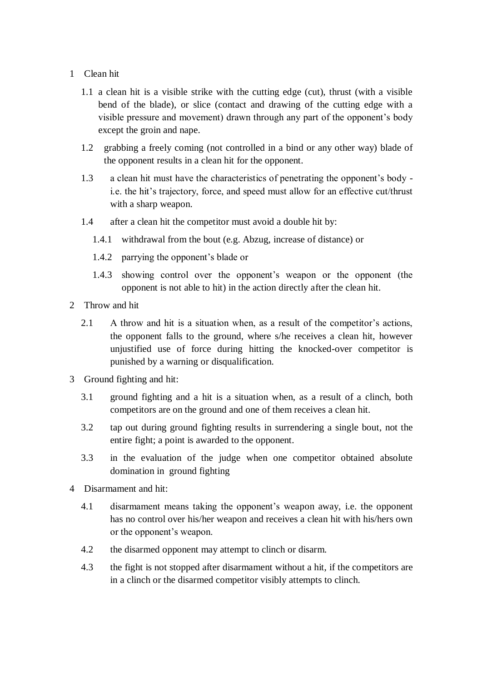#### 1 Clean hit

- 1.1 a clean hit is a visible strike with the cutting edge (cut), thrust (with a visible bend of the blade), or slice (contact and drawing of the cutting edge with a visible pressure and movement) drawn through any part of the opponent's body except the groin and nape.
- 1.2 grabbing a freely coming (not controlled in a bind or any other way) blade of the opponent results in a clean hit for the opponent.
- 1.3 a clean hit must have the characteristics of penetrating the opponent's body i.e. the hit's trajectory, force, and speed must allow for an effective cut/thrust with a sharp weapon.
- 1.4 after a clean hit the competitor must avoid a double hit by:
	- 1.4.1 withdrawal from the bout (e.g. Abzug, increase of distance) or
	- 1.4.2 parrying the opponent's blade or
	- 1.4.3 showing control over the opponent's weapon or the opponent (the opponent is not able to hit) in the action directly after the clean hit.
- 2 Throw and hit
	- 2.1 A throw and hit is a situation when, as a result of the competitor's actions, the opponent falls to the ground, where s/he receives a clean hit, however unjustified use of force during hitting the knocked-over competitor is punished by a warning or disqualification.
- 3 Ground fighting and hit:
	- 3.1 ground fighting and a hit is a situation when, as a result of a clinch, both competitors are on the ground and one of them receives a clean hit.
	- 3.2 tap out during ground fighting results in surrendering a single bout, not the entire fight; a point is awarded to the opponent.
	- 3.3 in the evaluation of the judge when one competitor obtained absolute domination in ground fighting
- 4 Disarmament and hit:
	- 4.1 disarmament means taking the opponent's weapon away, i.e. the opponent has no control over his/her weapon and receives a clean hit with his/hers own or the opponent's weapon.
	- 4.2 the disarmed opponent may attempt to clinch or disarm.
	- 4.3 the fight is not stopped after disarmament without a hit, if the competitors are in a clinch or the disarmed competitor visibly attempts to clinch.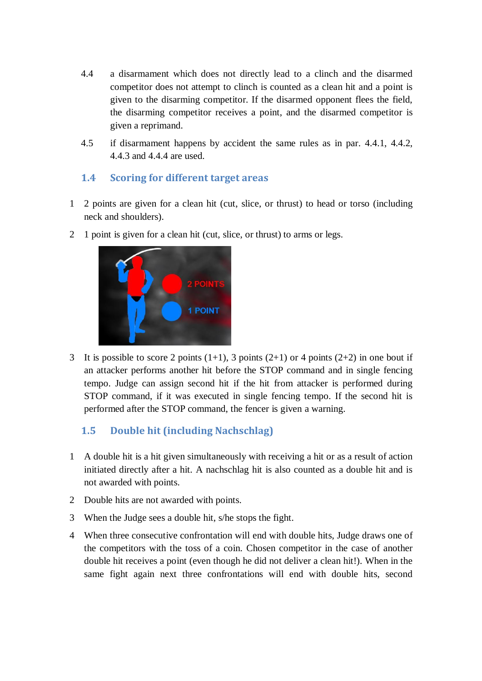- 4.4 a disarmament which does not directly lead to a clinch and the disarmed competitor does not attempt to clinch is counted as a clean hit and a point is given to the disarming competitor. If the disarmed opponent flees the field, the disarming competitor receives a point, and the disarmed competitor is given a reprimand.
- 4.5 if disarmament happens by accident the same rules as in par. 4.4.1, 4.4.2, 4.4.3 and 4.4.4 are used.

# **1.4 Scoring for different target areas**

- 1 2 points are given for a clean hit (cut, slice, or thrust) to head or torso (including neck and shoulders).
- 2 1 point is given for a clean hit (cut, slice, or thrust) to arms or legs.



3 It is possible to score 2 points  $(1+1)$ , 3 points  $(2+1)$  or 4 points  $(2+2)$  in one bout if an attacker performs another hit before the STOP command and in single fencing tempo. Judge can assign second hit if the hit from attacker is performed during STOP command, if it was executed in single fencing tempo. If the second hit is performed after the STOP command, the fencer is given a warning.

# **1.5 Double hit (including Nachschlag)**

- 1 A double hit is a hit given simultaneously with receiving a hit or as a result of action initiated directly after a hit. A nachschlag hit is also counted as a double hit and is not awarded with points.
- 2 Double hits are not awarded with points.
- 3 When the Judge sees a double hit, s/he stops the fight.
- 4 When three consecutive confrontation will end with double hits, Judge draws one of the competitors with the toss of a coin. Chosen competitor in the case of another double hit receives a point (even though he did not deliver a clean hit!). When in the same fight again next three confrontations will end with double hits, second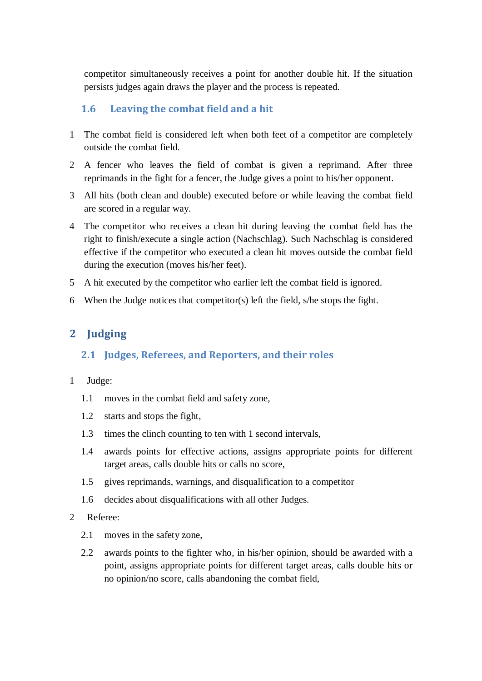competitor simultaneously receives a point for another double hit. If the situation persists judges again draws the player and the process is repeated.

# **1.6 Leaving the combat field and a hit**

- 1 The combat field is considered left when both feet of a competitor are completely outside the combat field.
- 2 A fencer who leaves the field of combat is given a reprimand. After three reprimands in the fight for a fencer, the Judge gives a point to his/her opponent.
- 3 All hits (both clean and double) executed before or while leaving the combat field are scored in a regular way.
- 4 The competitor who receives a clean hit during leaving the combat field has the right to finish/execute a single action (Nachschlag). Such Nachschlag is considered effective if the competitor who executed a clean hit moves outside the combat field during the execution (moves his/her feet).
- 5 A hit executed by the competitor who earlier left the combat field is ignored.
- 6 When the Judge notices that competitor(s) left the field, s/he stops the fight.

# **2 Judging**

### **2.1 Judges, Referees, and Reporters, and their roles**

#### 1 Judge:

- 1.1 moves in the combat field and safety zone,
- 1.2 starts and stops the fight,
- 1.3 times the clinch counting to ten with 1 second intervals,
- 1.4 awards points for effective actions, assigns appropriate points for different target areas, calls double hits or calls no score,
- 1.5 gives reprimands, warnings, and disqualification to a competitor
- 1.6 decides about disqualifications with all other Judges.
- 2 Referee:
	- 2.1 moves in the safety zone,
	- 2.2 awards points to the fighter who, in his/her opinion, should be awarded with a point, assigns appropriate points for different target areas, calls double hits or no opinion/no score, calls abandoning the combat field,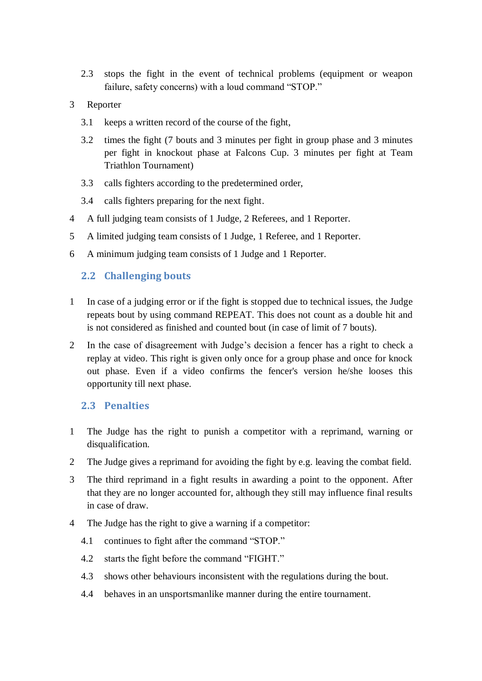- 2.3 stops the fight in the event of technical problems (equipment or weapon failure, safety concerns) with a loud command "STOP."
- 3 Reporter
	- 3.1 keeps a written record of the course of the fight,
	- 3.2 times the fight (7 bouts and 3 minutes per fight in group phase and 3 minutes per fight in knockout phase at Falcons Cup. 3 minutes per fight at Team Triathlon Tournament)
	- 3.3 calls fighters according to the predetermined order,
	- 3.4 calls fighters preparing for the next fight.
- 4 A full judging team consists of 1 Judge, 2 Referees, and 1 Reporter.
- 5 A limited judging team consists of 1 Judge, 1 Referee, and 1 Reporter.
- 6 A minimum judging team consists of 1 Judge and 1 Reporter.

# **2.2 Challenging bouts**

- 1 In case of a judging error or if the fight is stopped due to technical issues, the Judge repeats bout by using command REPEAT. This does not count as a double hit and is not considered as finished and counted bout (in case of limit of 7 bouts).
- 2 In the case of disagreement with Judge's decision a fencer has a right to check a replay at video. This right is given only once for a group phase and once for knock out phase. Even if a video confirms the fencer's version he/she looses this opportunity till next phase.

### **2.3 Penalties**

- 1 The Judge has the right to punish a competitor with a reprimand, warning or disqualification.
- 2 The Judge gives a reprimand for avoiding the fight by e.g. leaving the combat field.
- 3 The third reprimand in a fight results in awarding a point to the opponent. After that they are no longer accounted for, although they still may influence final results in case of draw.
- 4 The Judge has the right to give a warning if a competitor:
	- 4.1 continues to fight after the command "STOP."
	- 4.2 starts the fight before the command "FIGHT."
	- 4.3 shows other behaviours inconsistent with the regulations during the bout.
	- 4.4 behaves in an unsportsmanlike manner during the entire tournament.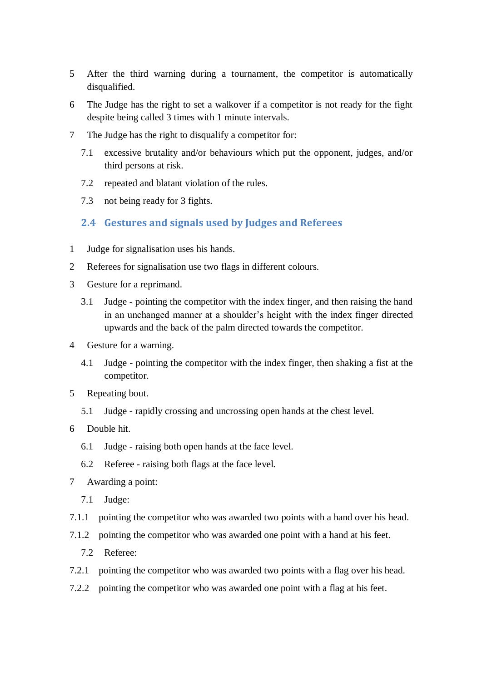- 5 After the third warning during a tournament, the competitor is automatically disqualified.
- 6 The Judge has the right to set a walkover if a competitor is not ready for the fight despite being called 3 times with 1 minute intervals.
- 7 The Judge has the right to disqualify a competitor for:
	- 7.1 excessive brutality and/or behaviours which put the opponent, judges, and/or third persons at risk.
	- 7.2 repeated and blatant violation of the rules.
	- 7.3 not being ready for 3 fights.

#### **2.4 Gestures and signals used by Judges and Referees**

- 1 Judge for signalisation uses his hands.
- 2 Referees for signalisation use two flags in different colours.
- 3 Gesture for a reprimand.
	- 3.1 Judge pointing the competitor with the index finger, and then raising the hand in an unchanged manner at a shoulder's height with the index finger directed upwards and the back of the palm directed towards the competitor.
- 4 Gesture for a warning.
	- 4.1 Judge pointing the competitor with the index finger, then shaking a fist at the competitor.
- 5 Repeating bout.
	- 5.1 Judge rapidly crossing and uncrossing open hands at the chest level.
- 6 Double hit.
	- 6.1 Judge raising both open hands at the face level.
	- 6.2 Referee raising both flags at the face level.
- 7 Awarding a point:
	- 7.1 Judge:
- 7.1.1 pointing the competitor who was awarded two points with a hand over his head.
- 7.1.2 pointing the competitor who was awarded one point with a hand at his feet.
	- 7.2 Referee:
- 7.2.1 pointing the competitor who was awarded two points with a flag over his head.
- 7.2.2 pointing the competitor who was awarded one point with a flag at his feet.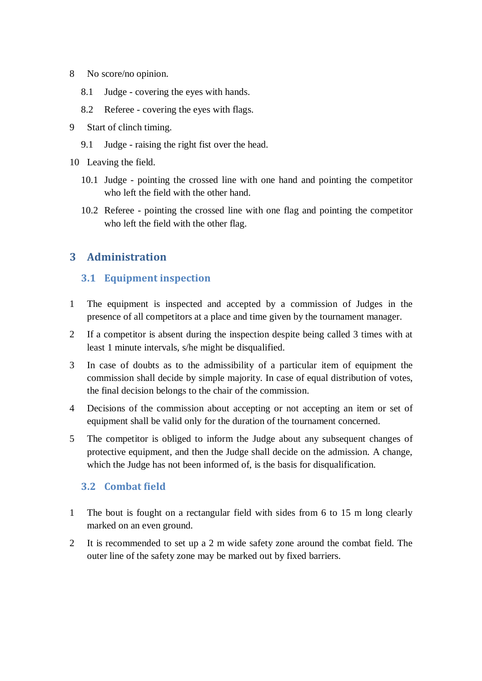- 8 No score/no opinion.
	- 8.1 Judge covering the eyes with hands.
	- 8.2 Referee covering the eyes with flags.
- 9 Start of clinch timing.
	- 9.1 Judge raising the right fist over the head.
- 10 Leaving the field.
	- 10.1 Judge pointing the crossed line with one hand and pointing the competitor who left the field with the other hand.
	- 10.2 Referee pointing the crossed line with one flag and pointing the competitor who left the field with the other flag.

# **3 Administration**

### **3.1 Equipment inspection**

- 1 The equipment is inspected and accepted by a commission of Judges in the presence of all competitors at a place and time given by the tournament manager.
- 2 If a competitor is absent during the inspection despite being called 3 times with at least 1 minute intervals, s/he might be disqualified.
- 3 In case of doubts as to the admissibility of a particular item of equipment the commission shall decide by simple majority. In case of equal distribution of votes, the final decision belongs to the chair of the commission.
- 4 Decisions of the commission about accepting or not accepting an item or set of equipment shall be valid only for the duration of the tournament concerned.
- 5 The competitor is obliged to inform the Judge about any subsequent changes of protective equipment, and then the Judge shall decide on the admission. A change, which the Judge has not been informed of, is the basis for disqualification.

### **3.2 Combat field**

- 1 The bout is fought on a rectangular field with sides from 6 to 15 m long clearly marked on an even ground.
- 2 It is recommended to set up a 2 m wide safety zone around the combat field. The outer line of the safety zone may be marked out by fixed barriers.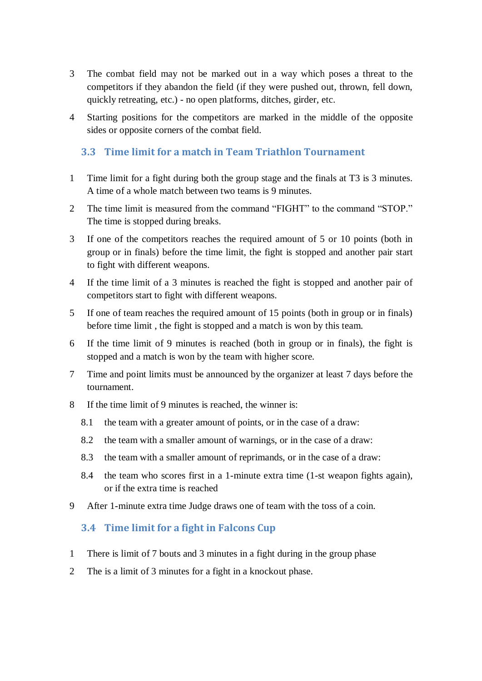- 3 The combat field may not be marked out in a way which poses a threat to the competitors if they abandon the field (if they were pushed out, thrown, fell down, quickly retreating, etc.) - no open platforms, ditches, girder, etc.
- 4 Starting positions for the competitors are marked in the middle of the opposite sides or opposite corners of the combat field.

# **3.3 Time limit for a match in Team Triathlon Tournament**

- 1 Time limit for a fight during both the group stage and the finals at T3 is 3 minutes. A time of a whole match between two teams is 9 minutes.
- 2 The time limit is measured from the command "FIGHT" to the command "STOP." The time is stopped during breaks.
- 3 If one of the competitors reaches the required amount of 5 or 10 points (both in group or in finals) before the time limit, the fight is stopped and another pair start to fight with different weapons.
- 4 If the time limit of a 3 minutes is reached the fight is stopped and another pair of competitors start to fight with different weapons.
- 5 If one of team reaches the required amount of 15 points (both in group or in finals) before time limit , the fight is stopped and a match is won by this team.
- 6 If the time limit of 9 minutes is reached (both in group or in finals), the fight is stopped and a match is won by the team with higher score.
- 7 Time and point limits must be announced by the organizer at least 7 days before the tournament.
- 8 If the time limit of 9 minutes is reached, the winner is:
	- 8.1 the team with a greater amount of points, or in the case of a draw:
	- 8.2 the team with a smaller amount of warnings, or in the case of a draw:
	- 8.3 the team with a smaller amount of reprimands, or in the case of a draw:
	- 8.4 the team who scores first in a 1-minute extra time (1-st weapon fights again), or if the extra time is reached
- 9 After 1-minute extra time Judge draws one of team with the toss of a coin.

### **3.4 Time limit for a fight in Falcons Cup**

- 1 There is limit of 7 bouts and 3 minutes in a fight during in the group phase
- 2 The is a limit of 3 minutes for a fight in a knockout phase.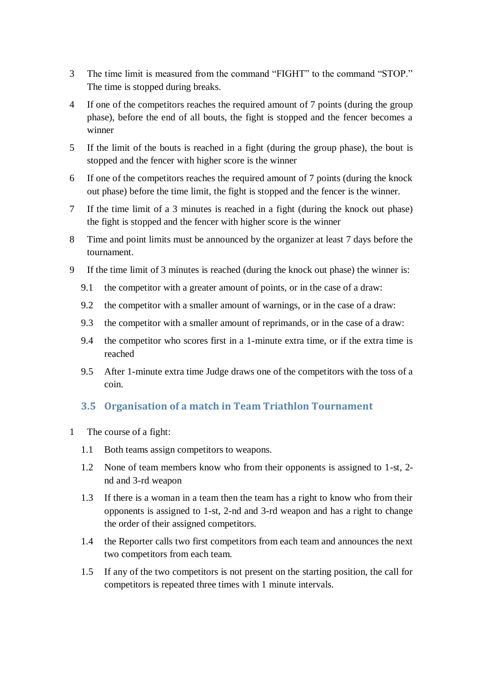- 3 The time limit is measured from the command "FIGHT" to the command "STOP." The time is stopped during breaks.
- 4 If one of the competitors reaches the required amount of 7 points (during the group phase), before the end of all bouts, the fight is stopped and the fencer becomes a winner
- 5 If the limit of the bouts is reached in a fight (during the group phase), the bout is stopped and the fencer with higher score is the winner
- 6 If one of the competitors reaches the required amount of 7 points (during the knock out phase) before the time limit, the fight is stopped and the fencer is the winner.
- 7 If the time limit of a 3 minutes is reached in a fight (during the knock out phase) the fight is stopped and the fencer with higher score is the winner
- 8 Time and point limits must be announced by the organizer at least 7 days before the tournament.
- 9 If the time limit of 3 minutes is reached (during the knock out phase) the winner is:
	- 9.1 the competitor with a greater amount of points, or in the case of a draw:
	- 9.2 the competitor with a smaller amount of warnings, or in the case of a draw:
	- 9.3 the competitor with a smaller amount of reprimands, or in the case of a draw:
	- 9.4 the competitor who scores first in a 1-minute extra time, or if the extra time is reached
	- 9.5 After 1-minute extra time Judge draws one of the competitors with the toss of a coin.

# **3.5 Organisation of a match in Team Triathlon Tournament**

- 1 The course of a fight:
	- 1.1 Both teams assign competitors to weapons.
	- 1.2 None of team members know who from their opponents is assigned to 1-st, 2 nd and 3-rd weapon
	- 1.3 If there is a woman in a team then the team has a right to know who from their opponents is assigned to 1-st, 2-nd and 3-rd weapon and has a right to change the order of their assigned competitors.
	- 1.4 the Reporter calls two first competitors from each team and announces the next two competitors from each team.
	- 1.5 If any of the two competitors is not present on the starting position, the call for competitors is repeated three times with 1 minute intervals.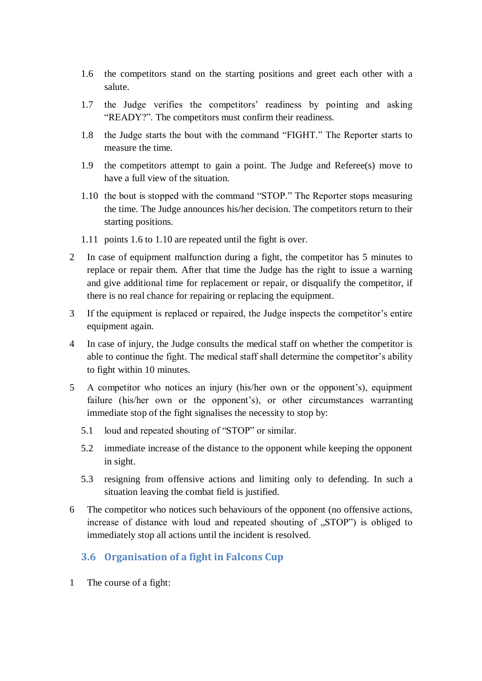- 1.6 the competitors stand on the starting positions and greet each other with a salute.
- 1.7 the Judge verifies the competitors' readiness by pointing and asking "READY?". The competitors must confirm their readiness.
- 1.8 the Judge starts the bout with the command "FIGHT." The Reporter starts to measure the time.
- 1.9 the competitors attempt to gain a point. The Judge and Referee(s) move to have a full view of the situation.
- 1.10 the bout is stopped with the command "STOP." The Reporter stops measuring the time. The Judge announces his/her decision. The competitors return to their starting positions.
- 1.11 points 1.6 to 1.10 are repeated until the fight is over.
- 2 In case of equipment malfunction during a fight, the competitor has 5 minutes to replace or repair them. After that time the Judge has the right to issue a warning and give additional time for replacement or repair, or disqualify the competitor, if there is no real chance for repairing or replacing the equipment.
- 3 If the equipment is replaced or repaired, the Judge inspects the competitor's entire equipment again.
- 4 In case of injury, the Judge consults the medical staff on whether the competitor is able to continue the fight. The medical staff shall determine the competitor's ability to fight within 10 minutes.
- 5 A competitor who notices an injury (his/her own or the opponent's), equipment failure (his/her own or the opponent's), or other circumstances warranting immediate stop of the fight signalises the necessity to stop by:
	- 5.1 loud and repeated shouting of "STOP" or similar.
	- 5.2 immediate increase of the distance to the opponent while keeping the opponent in sight.
	- 5.3 resigning from offensive actions and limiting only to defending. In such a situation leaving the combat field is justified.
- 6 The competitor who notices such behaviours of the opponent (no offensive actions, increase of distance with loud and repeated shouting of "STOP") is obliged to immediately stop all actions until the incident is resolved.

### **3.6 Organisation of a fight in Falcons Cup**

1 The course of a fight: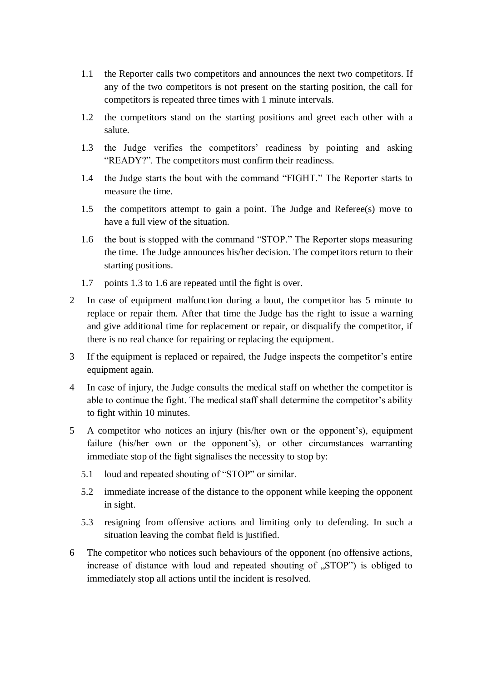- 1.1 the Reporter calls two competitors and announces the next two competitors. If any of the two competitors is not present on the starting position, the call for competitors is repeated three times with 1 minute intervals.
- 1.2 the competitors stand on the starting positions and greet each other with a salute.
- 1.3 the Judge verifies the competitors' readiness by pointing and asking "READY?". The competitors must confirm their readiness.
- 1.4 the Judge starts the bout with the command "FIGHT." The Reporter starts to measure the time.
- 1.5 the competitors attempt to gain a point. The Judge and Referee(s) move to have a full view of the situation.
- 1.6 the bout is stopped with the command "STOP." The Reporter stops measuring the time. The Judge announces his/her decision. The competitors return to their starting positions.
- 1.7 points 1.3 to 1.6 are repeated until the fight is over.
- 2 In case of equipment malfunction during a bout, the competitor has 5 minute to replace or repair them. After that time the Judge has the right to issue a warning and give additional time for replacement or repair, or disqualify the competitor, if there is no real chance for repairing or replacing the equipment.
- 3 If the equipment is replaced or repaired, the Judge inspects the competitor's entire equipment again.
- 4 In case of injury, the Judge consults the medical staff on whether the competitor is able to continue the fight. The medical staff shall determine the competitor's ability to fight within 10 minutes.
- 5 A competitor who notices an injury (his/her own or the opponent's), equipment failure (his/her own or the opponent's), or other circumstances warranting immediate stop of the fight signalises the necessity to stop by:
	- 5.1 loud and repeated shouting of "STOP" or similar.
	- 5.2 immediate increase of the distance to the opponent while keeping the opponent in sight.
	- 5.3 resigning from offensive actions and limiting only to defending. In such a situation leaving the combat field is justified.
- 6 The competitor who notices such behaviours of the opponent (no offensive actions, increase of distance with loud and repeated shouting of "STOP") is obliged to immediately stop all actions until the incident is resolved.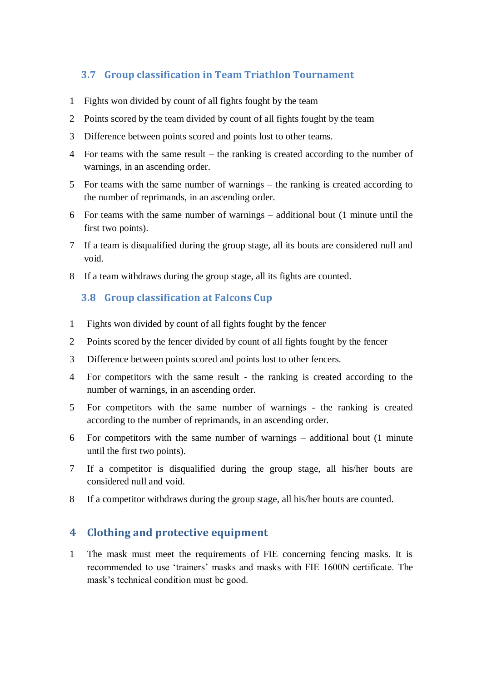## **3.7 Group classification in Team Triathlon Tournament**

- 1 Fights won divided by count of all fights fought by the team
- 2 Points scored by the team divided by count of all fights fought by the team
- 3 Difference between points scored and points lost to other teams.
- 4 For teams with the same result the ranking is created according to the number of warnings, in an ascending order.
- 5 For teams with the same number of warnings the ranking is created according to the number of reprimands, in an ascending order.
- 6 For teams with the same number of warnings additional bout (1 minute until the first two points).
- 7 If a team is disqualified during the group stage, all its bouts are considered null and void.
- 8 If a team withdraws during the group stage, all its fights are counted.

### **3.8 Group classification at Falcons Cup**

- 1 Fights won divided by count of all fights fought by the fencer
- 2 Points scored by the fencer divided by count of all fights fought by the fencer
- 3 Difference between points scored and points lost to other fencers.
- 4 For competitors with the same result the ranking is created according to the number of warnings, in an ascending order.
- 5 For competitors with the same number of warnings the ranking is created according to the number of reprimands, in an ascending order.
- 6 For competitors with the same number of warnings additional bout (1 minute until the first two points).
- 7 If a competitor is disqualified during the group stage, all his/her bouts are considered null and void.
- 8 If a competitor withdraws during the group stage, all his/her bouts are counted.

### **4 Clothing and protective equipment**

1 The mask must meet the requirements of FIE concerning fencing masks. It is recommended to use 'trainers' masks and masks with FIE 1600N certificate. The mask's technical condition must be good.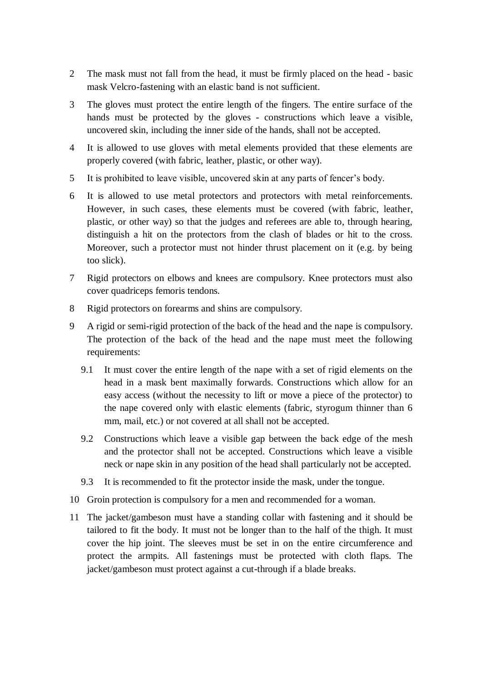- 2 The mask must not fall from the head, it must be firmly placed on the head basic mask Velcro-fastening with an elastic band is not sufficient.
- 3 The gloves must protect the entire length of the fingers. The entire surface of the hands must be protected by the gloves - constructions which leave a visible, uncovered skin, including the inner side of the hands, shall not be accepted.
- 4 It is allowed to use gloves with metal elements provided that these elements are properly covered (with fabric, leather, plastic, or other way).
- 5 It is prohibited to leave visible, uncovered skin at any parts of fencer's body.
- 6 It is allowed to use metal protectors and protectors with metal reinforcements. However, in such cases, these elements must be covered (with fabric, leather, plastic, or other way) so that the judges and referees are able to, through hearing, distinguish a hit on the protectors from the clash of blades or hit to the cross. Moreover, such a protector must not hinder thrust placement on it (e.g. by being too slick).
- 7 Rigid protectors on elbows and knees are compulsory. Knee protectors must also cover quadriceps femoris tendons.
- 8 Rigid protectors on forearms and shins are compulsory.
- 9 A rigid or semi-rigid protection of the back of the head and the nape is compulsory. The protection of the back of the head and the nape must meet the following requirements:
	- 9.1 It must cover the entire length of the nape with a set of rigid elements on the head in a mask bent maximally forwards. Constructions which allow for an easy access (without the necessity to lift or move a piece of the protector) to the nape covered only with elastic elements (fabric, styrogum thinner than 6 mm, mail, etc.) or not covered at all shall not be accepted.
	- 9.2 Constructions which leave a visible gap between the back edge of the mesh and the protector shall not be accepted. Constructions which leave a visible neck or nape skin in any position of the head shall particularly not be accepted.
	- 9.3 It is recommended to fit the protector inside the mask, under the tongue.
- 10 Groin protection is compulsory for a men and recommended for a woman.
- 11 The jacket/gambeson must have a standing collar with fastening and it should be tailored to fit the body. It must not be longer than to the half of the thigh. It must cover the hip joint. The sleeves must be set in on the entire circumference and protect the armpits. All fastenings must be protected with cloth flaps. The jacket/gambeson must protect against a cut-through if a blade breaks.